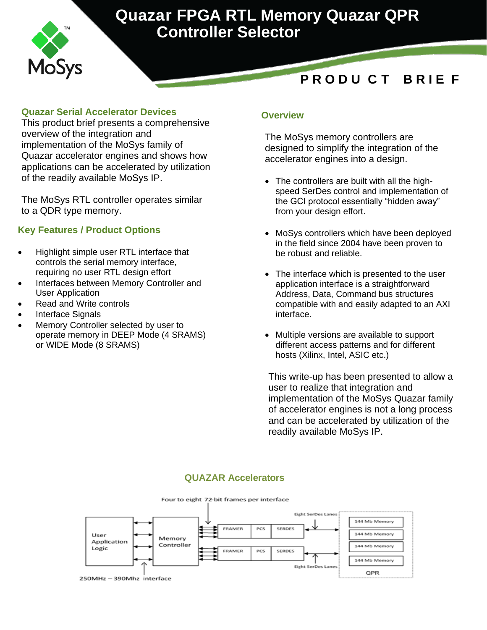

# **Quazar FPGA RTL Memory Quazar QPR Controller Selector**

## **P R O D U C T B R I E F**

### **Quazar Serial Accelerator Devices**

This product brief presents a comprehensive overview of the integration and implementation of the MoSys family of Quazar accelerator engines and shows how applications can be accelerated by utilization of the readily available MoSys IP.

The MoSys RTL controller operates similar to a QDR type memory.

### **Key Features / Product Options**

- Highlight simple user RTL interface that controls the serial memory interface, requiring no user RTL design effort
- Interfaces between Memory Controller and User Application
- Read and Write controls
- Interface Signals
- Memory Controller selected by user to operate memory in DEEP Mode (4 SRAMS) or WIDE Mode (8 SRAMS)

### **Overview**

The MoSys memory controllers are designed to simplify the integration of the accelerator engines into a design.

- The controllers are built with all the highspeed SerDes control and implementation of the GCI protocol essentially "hidden away" from your design effort.
- MoSys controllers which have been deployed in the field since 2004 have been proven to be robust and reliable.
- The interface which is presented to the user application interface is a straightforward Address, Data, Command bus structures compatible with and easily adapted to an AXI interface.
- Multiple versions are available to support different access patterns and for different hosts (Xilinx, Intel, ASIC etc.)

This write-up has been presented to allow a user to realize that integration and implementation of the MoSys Quazar family of accelerator engines is not a long process and can be accelerated by utilization of the readily available MoSys IP.

#### **QUAZAR Accelerators**

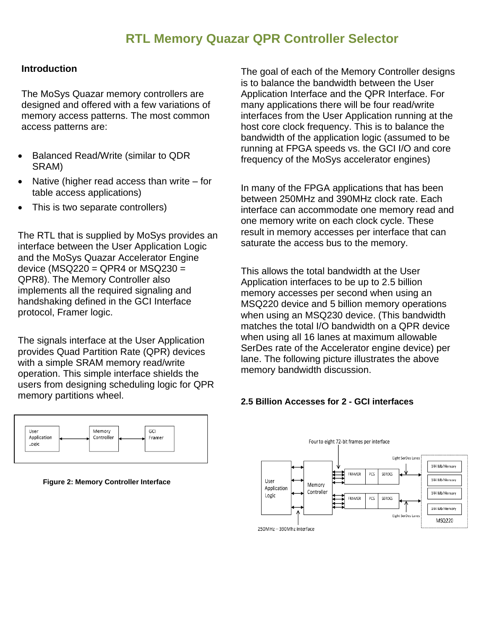### **RTL Memory Quazar QPR Controller Selector**

#### **Introduction**

The MoSys Quazar memory controllers are designed and offered with a few variations of memory access patterns. The most common access patterns are:

- Balanced Read/Write (similar to QDR SRAM)
- Native (higher read access than write for table access applications)
- This is two separate controllers)

The RTL that is supplied by MoSys provides an interface between the User Application Logic and the MoSys Quazar Accelerator Engine device ( $MSQ220 = QPR4$  or  $MSQ230 =$ QPR8). The Memory Controller also implements all the required signaling and handshaking defined in the GCI Interface protocol, Framer logic.

The signals interface at the User Application provides Quad Partition Rate (QPR) devices with a simple SRAM memory read/write operation. This simple interface shields the users from designing scheduling logic for QPR memory partitions wheel.

The goal of each of the Memory Controller designs is to balance the bandwidth between the User Application Interface and the QPR Interface. For many applications there will be four read/write interfaces from the User Application running at the host core clock frequency. This is to balance the bandwidth of the application logic (assumed to be running at FPGA speeds vs. the GCI I/O and core frequency of the MoSys accelerator engines)

In many of the FPGA applications that has been between 250MHz and 390MHz clock rate. Each interface can accommodate one memory read and one memory write on each clock cycle. These result in memory accesses per interface that can saturate the access bus to the memory.

This allows the total bandwidth at the User Application interfaces to be up to 2.5 billion memory accesses per second when using an MSQ220 device and 5 billion memory operations when using an MSQ230 device. (This bandwidth matches the total I/O bandwidth on a QPR device when using all 16 lanes at maximum allowable SerDes rate of the Accelerator engine device) per lane. The following picture illustrates the above memory bandwidth discussion.

#### **2.5 Billion Accesses for 2 - GCI interfaces**



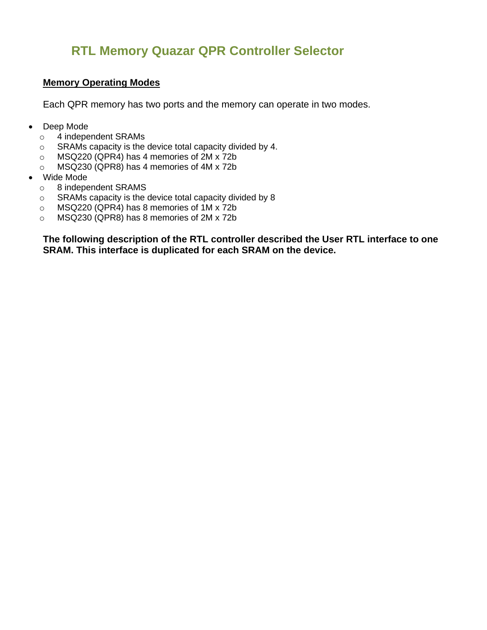### **RTL Memory Quazar QPR Controller Selector**

### **Memory Operating Modes**

Each QPR memory has two ports and the memory can operate in two modes.

- Deep Mode
	- o 4 independent SRAMs
	- o SRAMs capacity is the device total capacity divided by 4.
	- o MSQ220 (QPR4) has 4 memories of 2M x 72b
	- o MSQ230 (QPR8) has 4 memories of 4M x 72b
- Wide Mode
	- o 8 independent SRAMS
	- o SRAMs capacity is the device total capacity divided by 8
	- o MSQ220 (QPR4) has 8 memories of 1M x 72b
	- o MSQ230 (QPR8) has 8 memories of 2M x 72b

**The following description of the RTL controller described the User RTL interface to one SRAM. This interface is duplicated for each SRAM on the device.**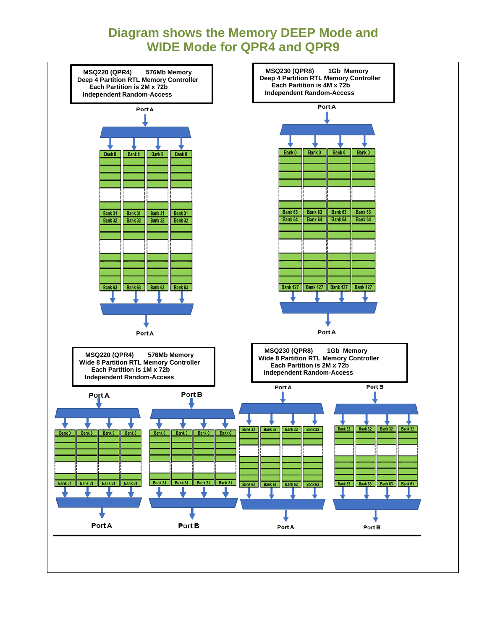### **Diagram shows the Memory DEEP Mode and WIDE Mode for QPR4 and QPR9**

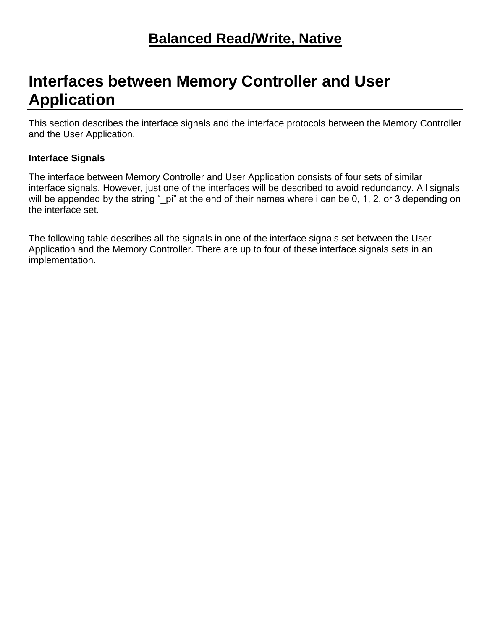# **Interfaces between Memory Controller and User Application**

This section describes the interface signals and the interface protocols between the Memory Controller and the User Application.

### **Interface Signals**

The interface between Memory Controller and User Application consists of four sets of similar interface signals. However, just one of the interfaces will be described to avoid redundancy. All signals will be appended by the string "\_pi" at the end of their names where i can be 0, 1, 2, or 3 depending on the interface set.

The following table describes all the signals in one of the interface signals set between the User Application and the Memory Controller. There are up to four of these interface signals sets in an implementation.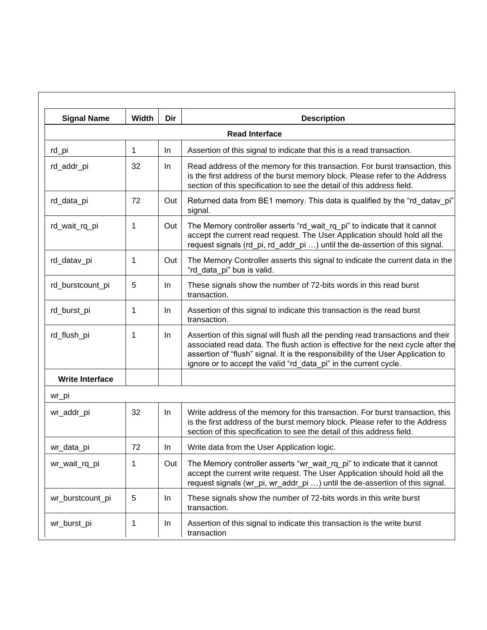| <b>Signal Name</b>     | Width Dir | <b>Description</b>                                                                                                                                                                                                                                                                                                          |
|------------------------|-----------|-----------------------------------------------------------------------------------------------------------------------------------------------------------------------------------------------------------------------------------------------------------------------------------------------------------------------------|
|                        |           | <b>Read Interface</b>                                                                                                                                                                                                                                                                                                       |
| rd_pi                  |           | Assertion of this signal to indicate that this is a read transaction.<br>In.                                                                                                                                                                                                                                                |
| rd_addr_pi             | 32        | Read address of the memory for this transaction. For burst transaction, this<br><b>In</b><br>is the first address of the burst memory block. Please refer to the Address<br>section of this specification to see the detail of this address field.                                                                          |
| rd_data_pi             | 72        | Out   Returned data from BE1 memory. This data is qualified by the "rd_datav_pi"<br>signal.                                                                                                                                                                                                                                 |
| rd_wait_rq_pi          |           | Out   The Memory controller asserts "rd_wait_rq_pi" to indicate that it cannot<br>accept the current read request. The User Application should hold all the<br>request signals (rd_pi, rd_addr_pi ) until the de-assertion of this signal.                                                                                  |
| rd_datav_pi            |           | Out   The Memory Controller asserts this signal to indicate the current data in the<br>"rd data pi" bus is valid.                                                                                                                                                                                                           |
| rd_burstcount_pi       |           | These signals show the number of 72-bits words in this read burst<br>$\ln$<br>transaction.                                                                                                                                                                                                                                  |
| rd_burst_pi            |           | Assertion of this signal to indicate this transaction is the read burst<br>In.<br>transaction.                                                                                                                                                                                                                              |
| rd_flush_pi            |           | Assertion of this signal will flush all the pending read transactions and their<br>associated read data. The flush action is effective for the next cycle after the<br>assertion of "flush" signal. It is the responsibility of the User Application to<br>ignore or to accept the valid "rd_data_pi" in the current cycle. |
| <b>Write Interface</b> |           |                                                                                                                                                                                                                                                                                                                             |
| wr_pi                  |           |                                                                                                                                                                                                                                                                                                                             |
| wr_addr_pi             | 32        | Write address of the memory for this transaction. For burst transaction, this<br>In<br>is the first address of the burst memory block. Please refer to the Address<br>section of this specification to see the detail of this address field.                                                                                |
| wr_data_pi             | 72        | ln<br>Write data from the User Application logic.                                                                                                                                                                                                                                                                           |
| wr_wait_rq_pi          |           | Out   The Memory controller asserts "wr_wait_rq_pi" to indicate that it cannot<br>accept the current write request. The User Application should hold all the<br>request signals (wr_pi, wr_addr_pi ) until the de-assertion of this signal.                                                                                 |
| wr_burstcount_pi       |           | These signals show the number of 72-bits words in this write burst<br><b>In</b><br>transaction.                                                                                                                                                                                                                             |
| wr_burst_pi            |           | Assertion of this signal to indicate this transaction is the write burst<br><b>In</b><br>transaction                                                                                                                                                                                                                        |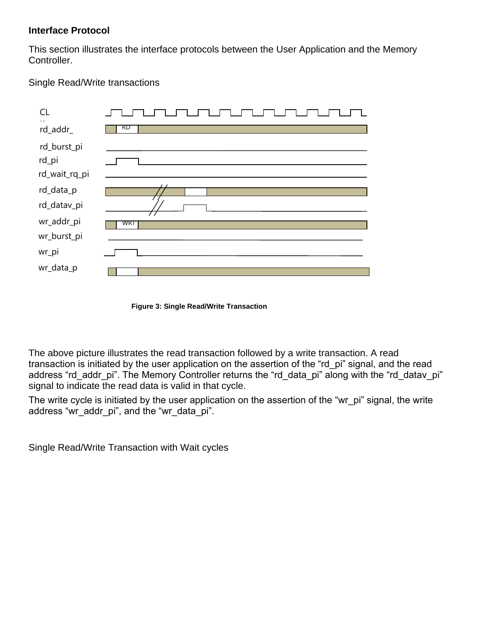### **Interface Protocol**

This section illustrates the interface protocols between the User Application and the Memory Controller.

### Single Read/Write transactions

| CL                                                    |     |
|-------------------------------------------------------|-----|
| rd_addr_                                              | RD  |
| rd_burst_pi<br>rd_pi<br>rd_wait_rq_pi                 |     |
| rd_data_p<br>rd_datav_pi<br>wr_addr_pi<br>wr_burst_pi | WRT |
| wr_pi<br>wr_data_p                                    |     |
|                                                       |     |

**Figure 3: Single Read/Write Transaction**

The above picture illustrates the read transaction followed by a write transaction. A read transaction is initiated by the user application on the assertion of the "rd\_pi" signal, and the read address "rd addr pi". The Memory Controller returns the "rd data pi" along with the "rd datav pi" signal to indicate the read data is valid in that cycle.

The write cycle is initiated by the user application on the assertion of the "wr\_pi" signal, the write address "wr\_addr\_pi", and the "wr\_data\_pi".

Single Read/Write Transaction with Wait cycles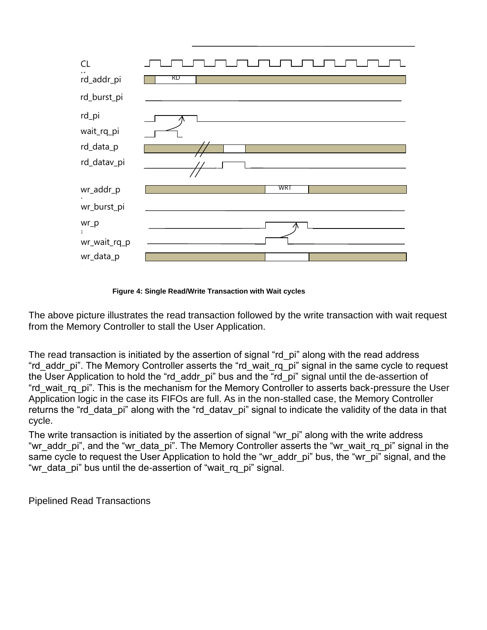

**Figure 4: Single Read/Write Transaction with Wait cycles**

The above picture illustrates the read transaction followed by the write transaction with wait request from the Memory Controller to stall the User Application.

The read transaction is initiated by the assertion of signal "rd pi" along with the read address "rd\_addr\_pi". The Memory Controller asserts the "rd\_wait\_rq\_pi" signal in the same cycle to request the User Application to hold the "rd addr pi" bus and the "rd pi" signal until the de-assertion of "rd\_wait\_rq\_pi". This is the mechanism for the Memory Controller to asserts back-pressure the User Application logic in the case its FIFOs are full. As in the non-stalled case, the Memory Controller returns the "rd data pi" along with the "rd datav pi" signal to indicate the validity of the data in that cycle.

The write transaction is initiated by the assertion of signal "wr\_pi" along with the write address "wr\_addr\_pi", and the "wr\_data\_pi". The Memory Controller asserts the "wr\_wait\_rq\_pi" signal in the same cycle to request the User Application to hold the "wr\_addr\_pi" bus, the "wr\_pi" signal, and the "wr\_data\_pi" bus until the de-assertion of "wait\_rq\_pi" signal.

Pipelined Read Transactions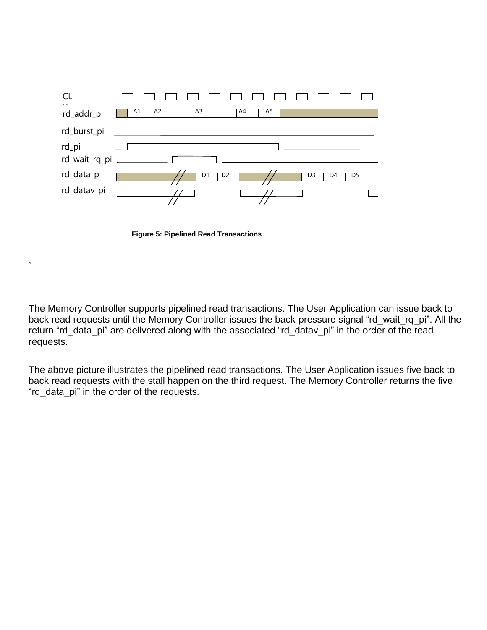



`

The Memory Controller supports pipelined read transactions. The User Application can issue back to back read requests until the Memory Controller issues the back-pressure signal "rd\_wait\_rq\_pi". All the return "rd\_data\_pi" are delivered along with the associated "rd\_datav\_pi" in the order of the read requests.

The above picture illustrates the pipelined read transactions. The User Application issues five back to back read requests with the stall happen on the third request. The Memory Controller returns the five "rd\_data\_pi" in the order of the requests.